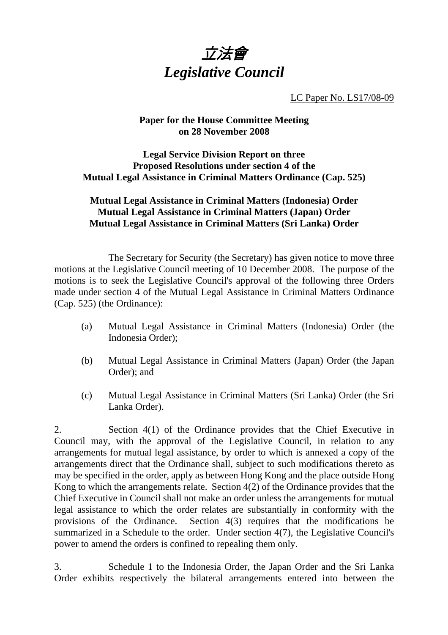

LC Paper No. LS17/08-09

### **Paper for the House Committee Meeting on 28 November 2008**

### **Legal Service Division Report on three Proposed Resolutions under section 4 of the Mutual Legal Assistance in Criminal Matters Ordinance (Cap. 525)**

### **Mutual Legal Assistance in Criminal Matters (Indonesia) Order Mutual Legal Assistance in Criminal Matters (Japan) Order Mutual Legal Assistance in Criminal Matters (Sri Lanka) Order**

 The Secretary for Security (the Secretary) has given notice to move three motions at the Legislative Council meeting of 10 December 2008. The purpose of the motions is to seek the Legislative Council's approval of the following three Orders made under section 4 of the Mutual Legal Assistance in Criminal Matters Ordinance (Cap. 525) (the Ordinance):

- (a) Mutual Legal Assistance in Criminal Matters (Indonesia) Order (the Indonesia Order);
- (b) Mutual Legal Assistance in Criminal Matters (Japan) Order (the Japan Order); and
- (c) Mutual Legal Assistance in Criminal Matters (Sri Lanka) Order (the Sri Lanka Order).

2. Section 4(1) of the Ordinance provides that the Chief Executive in Council may, with the approval of the Legislative Council, in relation to any arrangements for mutual legal assistance, by order to which is annexed a copy of the arrangements direct that the Ordinance shall, subject to such modifications thereto as may be specified in the order, apply as between Hong Kong and the place outside Hong Kong to which the arrangements relate. Section 4(2) of the Ordinance provides that the Chief Executive in Council shall not make an order unless the arrangements for mutual legal assistance to which the order relates are substantially in conformity with the provisions of the Ordinance. Section 4(3) requires that the modifications be summarized in a Schedule to the order. Under section 4(7), the Legislative Council's power to amend the orders is confined to repealing them only.

3. Schedule 1 to the Indonesia Order, the Japan Order and the Sri Lanka Order exhibits respectively the bilateral arrangements entered into between the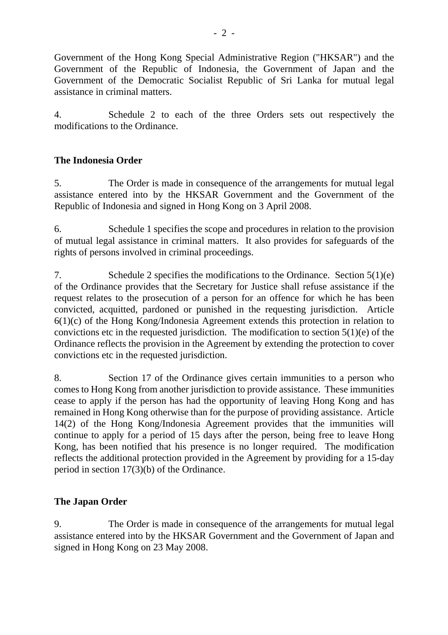Government of the Hong Kong Special Administrative Region ("HKSAR") and the Government of the Republic of Indonesia, the Government of Japan and the Government of the Democratic Socialist Republic of Sri Lanka for mutual legal assistance in criminal matters.

4. Schedule 2 to each of the three Orders sets out respectively the modifications to the Ordinance.

## **The Indonesia Order**

5. The Order is made in consequence of the arrangements for mutual legal assistance entered into by the HKSAR Government and the Government of the Republic of Indonesia and signed in Hong Kong on 3 April 2008.

6. Schedule 1 specifies the scope and procedures in relation to the provision of mutual legal assistance in criminal matters. It also provides for safeguards of the rights of persons involved in criminal proceedings.

7. Schedule 2 specifies the modifications to the Ordinance. Section 5(1)(e) of the Ordinance provides that the Secretary for Justice shall refuse assistance if the request relates to the prosecution of a person for an offence for which he has been convicted, acquitted, pardoned or punished in the requesting jurisdiction. Article 6(1)(c) of the Hong Kong/Indonesia Agreement extends this protection in relation to convictions etc in the requested jurisdiction. The modification to section  $5(1)(e)$  of the Ordinance reflects the provision in the Agreement by extending the protection to cover convictions etc in the requested jurisdiction.

8. Section 17 of the Ordinance gives certain immunities to a person who comes to Hong Kong from another jurisdiction to provide assistance. These immunities cease to apply if the person has had the opportunity of leaving Hong Kong and has remained in Hong Kong otherwise than for the purpose of providing assistance. Article 14(2) of the Hong Kong/Indonesia Agreement provides that the immunities will continue to apply for a period of 15 days after the person, being free to leave Hong Kong, has been notified that his presence is no longer required. The modification reflects the additional protection provided in the Agreement by providing for a 15-day period in section 17(3)(b) of the Ordinance.

# **The Japan Order**

9. The Order is made in consequence of the arrangements for mutual legal assistance entered into by the HKSAR Government and the Government of Japan and signed in Hong Kong on 23 May 2008.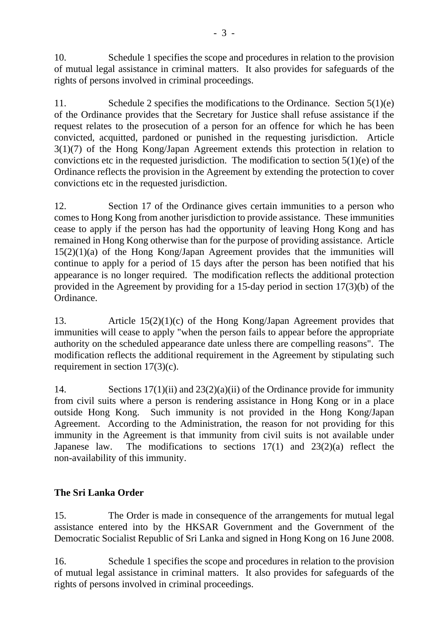10. Schedule 1 specifies the scope and procedures in relation to the provision of mutual legal assistance in criminal matters. It also provides for safeguards of the rights of persons involved in criminal proceedings.

11. Schedule 2 specifies the modifications to the Ordinance. Section 5(1)(e) of the Ordinance provides that the Secretary for Justice shall refuse assistance if the request relates to the prosecution of a person for an offence for which he has been convicted, acquitted, pardoned or punished in the requesting jurisdiction. Article 3(1)(7) of the Hong Kong/Japan Agreement extends this protection in relation to convictions etc in the requested jurisdiction. The modification to section  $5(1)(e)$  of the Ordinance reflects the provision in the Agreement by extending the protection to cover convictions etc in the requested jurisdiction.

12. Section 17 of the Ordinance gives certain immunities to a person who comes to Hong Kong from another jurisdiction to provide assistance. These immunities cease to apply if the person has had the opportunity of leaving Hong Kong and has remained in Hong Kong otherwise than for the purpose of providing assistance. Article 15(2)(1)(a) of the Hong Kong/Japan Agreement provides that the immunities will continue to apply for a period of 15 days after the person has been notified that his appearance is no longer required. The modification reflects the additional protection provided in the Agreement by providing for a 15-day period in section 17(3)(b) of the Ordinance.

13. Article 15(2)(1)(c) of the Hong Kong/Japan Agreement provides that immunities will cease to apply "when the person fails to appear before the appropriate authority on the scheduled appearance date unless there are compelling reasons". The modification reflects the additional requirement in the Agreement by stipulating such requirement in section 17(3)(c).

14. Sections 17(1)(ii) and 23(2)(a)(ii) of the Ordinance provide for immunity from civil suits where a person is rendering assistance in Hong Kong or in a place outside Hong Kong. Such immunity is not provided in the Hong Kong/Japan Agreement. According to the Administration, the reason for not providing for this immunity in the Agreement is that immunity from civil suits is not available under Japanese law. The modifications to sections  $17(1)$  and  $23(2)(a)$  reflect the non-availability of this immunity.

# **The Sri Lanka Order**

15. The Order is made in consequence of the arrangements for mutual legal assistance entered into by the HKSAR Government and the Government of the Democratic Socialist Republic of Sri Lanka and signed in Hong Kong on 16 June 2008.

16. Schedule 1 specifies the scope and procedures in relation to the provision of mutual legal assistance in criminal matters. It also provides for safeguards of the rights of persons involved in criminal proceedings.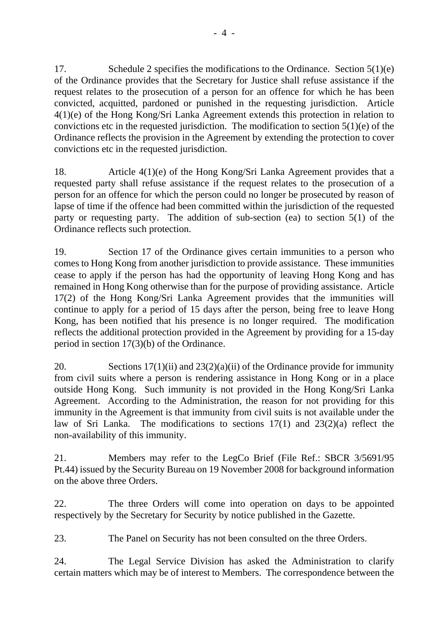17. Schedule 2 specifies the modifications to the Ordinance. Section 5(1)(e) of the Ordinance provides that the Secretary for Justice shall refuse assistance if the request relates to the prosecution of a person for an offence for which he has been convicted, acquitted, pardoned or punished in the requesting jurisdiction. Article 4(1)(e) of the Hong Kong/Sri Lanka Agreement extends this protection in relation to convictions etc in the requested jurisdiction. The modification to section  $5(1)(e)$  of the Ordinance reflects the provision in the Agreement by extending the protection to cover convictions etc in the requested jurisdiction.

18. Article 4(1)(e) of the Hong Kong/Sri Lanka Agreement provides that a requested party shall refuse assistance if the request relates to the prosecution of a person for an offence for which the person could no longer be prosecuted by reason of lapse of time if the offence had been committed within the jurisdiction of the requested party or requesting party. The addition of sub-section (ea) to section 5(1) of the Ordinance reflects such protection.

19. Section 17 of the Ordinance gives certain immunities to a person who comes to Hong Kong from another jurisdiction to provide assistance. These immunities cease to apply if the person has had the opportunity of leaving Hong Kong and has remained in Hong Kong otherwise than for the purpose of providing assistance. Article 17(2) of the Hong Kong/Sri Lanka Agreement provides that the immunities will continue to apply for a period of 15 days after the person, being free to leave Hong Kong, has been notified that his presence is no longer required. The modification reflects the additional protection provided in the Agreement by providing for a 15-day period in section 17(3)(b) of the Ordinance.

20. Sections  $17(1)(ii)$  and  $23(2)(a)(ii)$  of the Ordinance provide for immunity from civil suits where a person is rendering assistance in Hong Kong or in a place outside Hong Kong. Such immunity is not provided in the Hong Kong/Sri Lanka Agreement. According to the Administration, the reason for not providing for this immunity in the Agreement is that immunity from civil suits is not available under the law of Sri Lanka. The modifications to sections 17(1) and 23(2)(a) reflect the non-availability of this immunity.

21. Members may refer to the LegCo Brief (File Ref.: SBCR 3/5691/95 Pt.44) issued by the Security Bureau on 19 November 2008 for background information on the above three Orders.

22. The three Orders will come into operation on days to be appointed respectively by the Secretary for Security by notice published in the Gazette.

23. The Panel on Security has not been consulted on the three Orders.

24. The Legal Service Division has asked the Administration to clarify certain matters which may be of interest to Members. The correspondence between the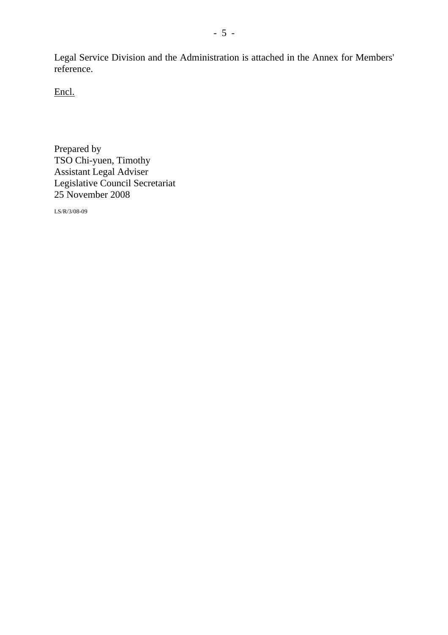Legal Service Division and the Administration is attached in the Annex for Members' reference.

Encl.

Prepared by TSO Chi-yuen, Timothy Assistant Legal Adviser Legislative Council Secretariat 25 November 2008

LS/R/3/08-09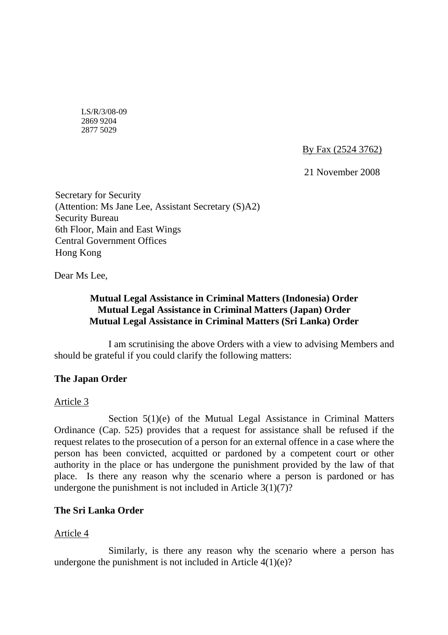LS/R/3/08-09 2869 9204 2877 5029

By Fax (2524 3762)

21 November 2008

Secretary for Security (Attention: Ms Jane Lee, Assistant Secretary (S)A2) Security Bureau 6th Floor, Main and East Wings Central Government Offices Hong Kong

Dear Ms Lee,

### **Mutual Legal Assistance in Criminal Matters (Indonesia) Order Mutual Legal Assistance in Criminal Matters (Japan) Order Mutual Legal Assistance in Criminal Matters (Sri Lanka) Order**

 I am scrutinising the above Orders with a view to advising Members and should be grateful if you could clarify the following matters:

### **The Japan Order**

### Article 3

Section  $5(1)(e)$  of the Mutual Legal Assistance in Criminal Matters Ordinance (Cap. 525) provides that a request for assistance shall be refused if the request relates to the prosecution of a person for an external offence in a case where the person has been convicted, acquitted or pardoned by a competent court or other authority in the place or has undergone the punishment provided by the law of that place. Is there any reason why the scenario where a person is pardoned or has undergone the punishment is not included in Article  $3(1)(7)$ ?

### **The Sri Lanka Order**

### Article 4

 Similarly, is there any reason why the scenario where a person has undergone the punishment is not included in Article  $4(1)(e)$ ?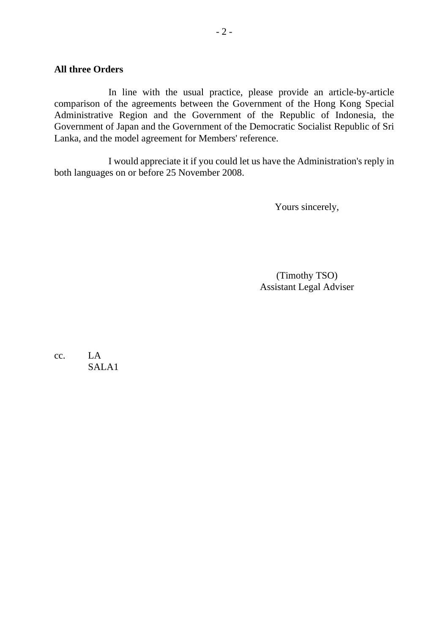#### **All three Orders**

 In line with the usual practice, please provide an article-by-article comparison of the agreements between the Government of the Hong Kong Special Administrative Region and the Government of the Republic of Indonesia, the Government of Japan and the Government of the Democratic Socialist Republic of Sri Lanka, and the model agreement for Members' reference.

 I would appreciate it if you could let us have the Administration's reply in both languages on or before 25 November 2008.

Yours sincerely,

(Timothy TSO) Assistant Legal Adviser

cc. LA SALA1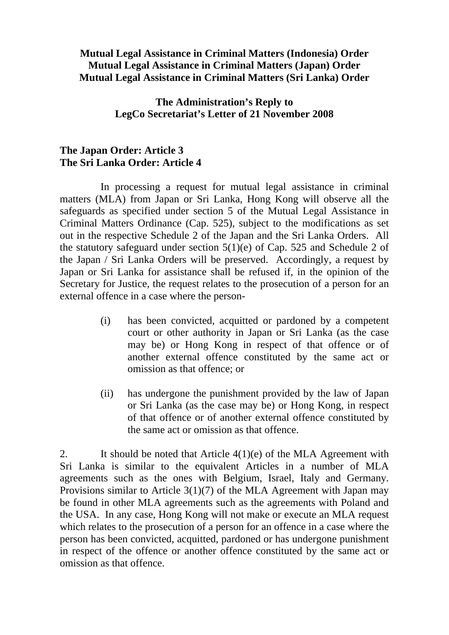## **Mutual Legal Assistance in Criminal Matters (Indonesia) Order Mutual Legal Assistance in Criminal Matters (Japan) Order Mutual Legal Assistance in Criminal Matters (Sri Lanka) Order**

## **The Administration's Reply to LegCo Secretariat's Letter of 21 November 2008**

## **The Japan Order: Article 3 The Sri Lanka Order: Article 4**

 In processing a request for mutual legal assistance in criminal matters (MLA) from Japan or Sri Lanka, Hong Kong will observe all the safeguards as specified under section 5 of the Mutual Legal Assistance in Criminal Matters Ordinance (Cap. 525), subject to the modifications as set out in the respective Schedule 2 of the Japan and the Sri Lanka Orders. All the statutory safeguard under section  $5(1)(e)$  of Cap. 525 and Schedule 2 of the Japan / Sri Lanka Orders will be preserved. Accordingly, a request by Japan or Sri Lanka for assistance shall be refused if, in the opinion of the Secretary for Justice, the request relates to the prosecution of a person for an external offence in a case where the person-

- (i) has been convicted, acquitted or pardoned by a competent court or other authority in Japan or Sri Lanka (as the case may be) or Hong Kong in respect of that offence or of another external offence constituted by the same act or omission as that offence; or
- (ii) has undergone the punishment provided by the law of Japan or Sri Lanka (as the case may be) or Hong Kong, in respect of that offence or of another external offence constituted by the same act or omission as that offence.

2. It should be noted that Article  $4(1)(e)$  of the MLA Agreement with Sri Lanka is similar to the equivalent Articles in a number of MLA agreements such as the ones with Belgium, Israel, Italy and Germany. Provisions similar to Article 3(1)(7) of the MLA Agreement with Japan may be found in other MLA agreements such as the agreements with Poland and the USA. In any case, Hong Kong will not make or execute an MLA request which relates to the prosecution of a person for an offence in a case where the person has been convicted, acquitted, pardoned or has undergone punishment in respect of the offence or another offence constituted by the same act or omission as that offence.